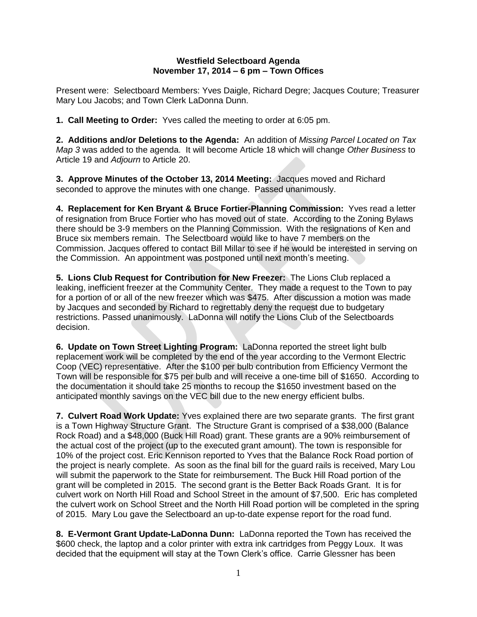## **Westfield Selectboard Agenda November 17, 2014 – 6 pm – Town Offices**

Present were: Selectboard Members: Yves Daigle, Richard Degre; Jacques Couture; Treasurer Mary Lou Jacobs; and Town Clerk LaDonna Dunn.

**1. Call Meeting to Order:** Yves called the meeting to order at 6:05 pm.

**2. Additions and/or Deletions to the Agenda:** An addition of *Missing Parcel Located on Tax Map 3* was added to the agenda. It will become Article 18 which will change *Other Business* to Article 19 and *Adjourn* to Article 20.

**3. Approve Minutes of the October 13, 2014 Meeting:** Jacques moved and Richard seconded to approve the minutes with one change. Passed unanimously.

**4. Replacement for Ken Bryant & Bruce Fortier-Planning Commission:** Yves read a letter of resignation from Bruce Fortier who has moved out of state. According to the Zoning Bylaws there should be 3-9 members on the Planning Commission. With the resignations of Ken and Bruce six members remain. The Selectboard would like to have 7 members on the Commission. Jacques offered to contact Bill Millar to see if he would be interested in serving on the Commission. An appointment was postponed until next month's meeting.

**5. Lions Club Request for Contribution for New Freezer:** The Lions Club replaced a leaking, inefficient freezer at the Community Center. They made a request to the Town to pay for a portion of or all of the new freezer which was \$475. After discussion a motion was made by Jacques and seconded by Richard to regrettably deny the request due to budgetary restrictions. Passed unanimously. LaDonna will notify the Lions Club of the Selectboards decision.

**6. Update on Town Street Lighting Program:** LaDonna reported the street light bulb replacement work will be completed by the end of the year according to the Vermont Electric Coop (VEC) representative. After the \$100 per bulb contribution from Efficiency Vermont the Town will be responsible for \$75 per bulb and will receive a one-time bill of \$1650. According to the documentation it should take 25 months to recoup the \$1650 investment based on the anticipated monthly savings on the VEC bill due to the new energy efficient bulbs.

**7. Culvert Road Work Update:** Yves explained there are two separate grants. The first grant is a Town Highway Structure Grant. The Structure Grant is comprised of a \$38,000 (Balance Rock Road) and a \$48,000 (Buck Hill Road) grant. These grants are a 90% reimbursement of the actual cost of the project (up to the executed grant amount). The town is responsible for 10% of the project cost. Eric Kennison reported to Yves that the Balance Rock Road portion of the project is nearly complete. As soon as the final bill for the guard rails is received, Mary Lou will submit the paperwork to the State for reimbursement. The Buck Hill Road portion of the grant will be completed in 2015. The second grant is the Better Back Roads Grant. It is for culvert work on North Hill Road and School Street in the amount of \$7,500. Eric has completed the culvert work on School Street and the North Hill Road portion will be completed in the spring of 2015. Mary Lou gave the Selectboard an up-to-date expense report for the road fund.

**8. E-Vermont Grant Update-LaDonna Dunn:** LaDonna reported the Town has received the \$600 check, the laptop and a color printer with extra ink cartridges from Peggy Loux. It was decided that the equipment will stay at the Town Clerk's office. Carrie Glessner has been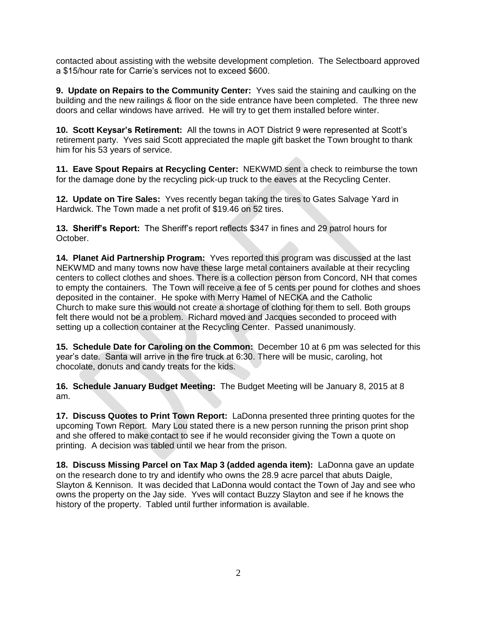contacted about assisting with the website development completion. The Selectboard approved a \$15/hour rate for Carrie's services not to exceed \$600.

**9. Update on Repairs to the Community Center:** Yves said the staining and caulking on the building and the new railings & floor on the side entrance have been completed. The three new doors and cellar windows have arrived. He will try to get them installed before winter.

**10. Scott Keysar's Retirement:** All the towns in AOT District 9 were represented at Scott's retirement party. Yves said Scott appreciated the maple gift basket the Town brought to thank him for his 53 years of service.

**11. Eave Spout Repairs at Recycling Center:** NEKWMD sent a check to reimburse the town for the damage done by the recycling pick-up truck to the eaves at the Recycling Center.

**12. Update on Tire Sales:** Yves recently began taking the tires to Gates Salvage Yard in Hardwick. The Town made a net profit of \$19.46 on 52 tires.

**13. Sheriff's Report:** The Sheriff's report reflects \$347 in fines and 29 patrol hours for October.

**14. Planet Aid Partnership Program:** Yves reported this program was discussed at the last NEKWMD and many towns now have these large metal containers available at their recycling centers to collect clothes and shoes. There is a collection person from Concord, NH that comes to empty the containers. The Town will receive a fee of 5 cents per pound for clothes and shoes deposited in the container. He spoke with Merry Hamel of NECKA and the Catholic Church to make sure this would not create a shortage of clothing for them to sell. Both groups felt there would not be a problem. Richard moved and Jacques seconded to proceed with setting up a collection container at the Recycling Center. Passed unanimously.

**15. Schedule Date for Caroling on the Common:** December 10 at 6 pm was selected for this year's date. Santa will arrive in the fire truck at 6:30. There will be music, caroling, hot chocolate, donuts and candy treats for the kids.

**16. Schedule January Budget Meeting:** The Budget Meeting will be January 8, 2015 at 8 am.

**17. Discuss Quotes to Print Town Report:** LaDonna presented three printing quotes for the upcoming Town Report. Mary Lou stated there is a new person running the prison print shop and she offered to make contact to see if he would reconsider giving the Town a quote on printing. A decision was tabled until we hear from the prison.

**18. Discuss Missing Parcel on Tax Map 3 (added agenda item):** LaDonna gave an update on the research done to try and identify who owns the 28.9 acre parcel that abuts Daigle, Slayton & Kennison. It was decided that LaDonna would contact the Town of Jay and see who owns the property on the Jay side. Yves will contact Buzzy Slayton and see if he knows the history of the property. Tabled until further information is available.